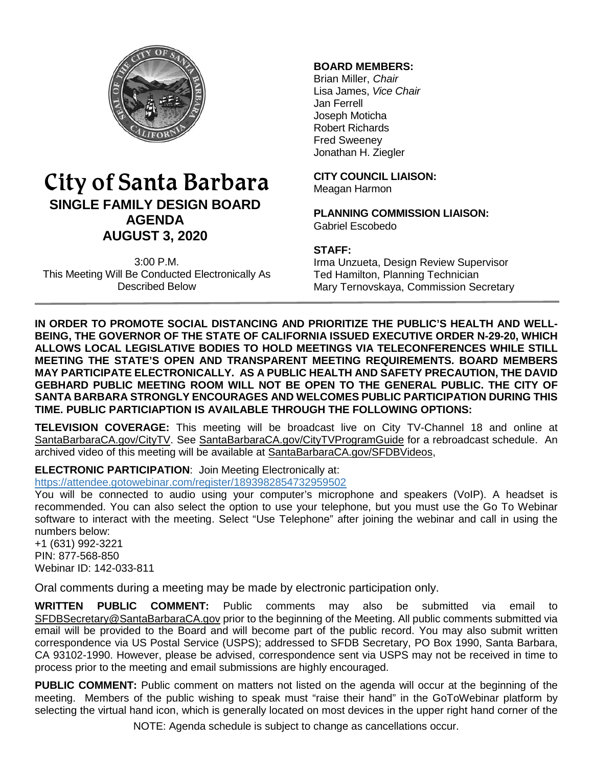

# City of Santa Barbara **SINGLE FAMILY DESIGN BOARD AGENDA AUGUST 3, 2020**

3:00 P.M. This Meeting Will Be Conducted Electronically As Described Below

## **BOARD MEMBERS:**

Brian Miller, *Chair* Lisa James, *Vice Chair* Jan Ferrell Joseph Moticha Robert Richards Fred Sweeney Jonathan H. Ziegler

**CITY COUNCIL LIAISON:** Meagan Harmon

**PLANNING COMMISSION LIAISON:** Gabriel Escobedo

## **STAFF:**

Irma Unzueta, Design Review Supervisor Ted Hamilton, Planning Technician Mary Ternovskaya, Commission Secretary

**IN ORDER TO PROMOTE SOCIAL DISTANCING AND PRIORITIZE THE PUBLIC'S HEALTH AND WELL-BEING, THE GOVERNOR OF THE STATE OF CALIFORNIA ISSUED EXECUTIVE ORDER N-29-20, WHICH ALLOWS LOCAL LEGISLATIVE BODIES TO HOLD MEETINGS VIA TELECONFERENCES WHILE STILL MEETING THE STATE'S OPEN AND TRANSPARENT MEETING REQUIREMENTS. BOARD MEMBERS MAY PARTICIPATE ELECTRONICALLY. AS A PUBLIC HEALTH AND SAFETY PRECAUTION, THE DAVID GEBHARD PUBLIC MEETING ROOM WILL NOT BE OPEN TO THE GENERAL PUBLIC. THE CITY OF SANTA BARBARA STRONGLY ENCOURAGES AND WELCOMES PUBLIC PARTICIPATION DURING THIS TIME. PUBLIC PARTICIAPTION IS AVAILABLE THROUGH THE FOLLOWING OPTIONS:**

**TELEVISION COVERAGE:** This meeting will be broadcast live on City TV-Channel 18 and online at [SantaBarbaraCA.gov/CityTV.](http://www.santabarbaraca.gov/CityTV) See [SantaBarbaraCA.gov/CityTVProgramGuide](http://www.santabarbaraca.gov/CityTVProgramGuide) for a rebroadcast schedule. An archived video of this meeting will be available at [SantaBarbaraCA.gov/SFDBVideos,](http://www.santabarbaraca.gov/SFDBVideos)

**ELECTRONIC PARTICIPATION**: Join Meeting Electronically at:

<https://attendee.gotowebinar.com/register/1893982854732959502>

You will be connected to audio using your computer's microphone and speakers (VoIP). A headset is recommended. You can also select the option to use your telephone, but you must use the Go To Webinar software to interact with the meeting. Select "Use Telephone" after joining the webinar and call in using the numbers below:

+1 (631) 992-3221 PIN: 877-568-850 Webinar ID: 142-033-811

Oral comments during a meeting may be made by electronic participation only.

**WRITTEN PUBLIC COMMENT:** Public comments may also be submitted via email to [SFDBSecretary@SantaBarbaraCA.gov](mailto:SFDBSecretary@SantaBarbaraCA.gov) prior to the beginning of the Meeting. All public comments submitted via email will be provided to the Board and will become part of the public record. You may also submit written correspondence via US Postal Service (USPS); addressed to SFDB Secretary, PO Box 1990, Santa Barbara, CA 93102-1990. However, please be advised, correspondence sent via USPS may not be received in time to process prior to the meeting and email submissions are highly encouraged.

**PUBLIC COMMENT:** Public comment on matters not listed on the agenda will occur at the beginning of the meeting. Members of the public wishing to speak must "raise their hand" in the GoToWebinar platform by selecting the virtual hand icon, which is generally located on most devices in the upper right hand corner of the

NOTE: Agenda schedule is subject to change as cancellations occur.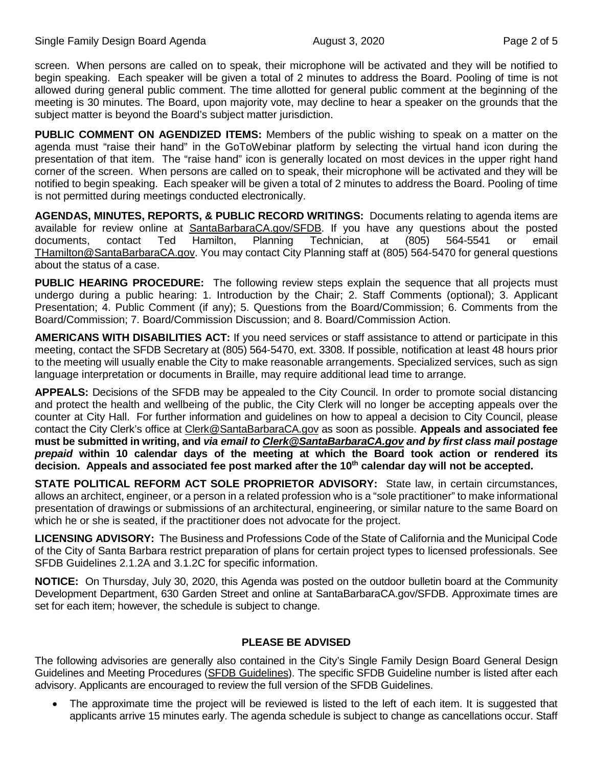screen. When persons are called on to speak, their microphone will be activated and they will be notified to begin speaking. Each speaker will be given a total of 2 minutes to address the Board. Pooling of time is not allowed during general public comment. The time allotted for general public comment at the beginning of the meeting is 30 minutes. The Board, upon majority vote, may decline to hear a speaker on the grounds that the subject matter is beyond the Board's subject matter jurisdiction.

**PUBLIC COMMENT ON AGENDIZED ITEMS:** Members of the public wishing to speak on a matter on the agenda must "raise their hand" in the GoToWebinar platform by selecting the virtual hand icon during the presentation of that item. The "raise hand" icon is generally located on most devices in the upper right hand corner of the screen. When persons are called on to speak, their microphone will be activated and they will be notified to begin speaking. Each speaker will be given a total of 2 minutes to address the Board. Pooling of time is not permitted during meetings conducted electronically.

**AGENDAS, MINUTES, REPORTS, & PUBLIC RECORD WRITINGS:** Documents relating to agenda items are available for review online at **SantaBarbaraCA.gov/SFDB**. If you have any questions about the posted documents, contact Ted Hamilton, Planning Technician, at (805) 564-5541 or email documents, contact Ted Hamilton, Planning Technician, at (805) 564-5541 or email [THamilton@SantaBarbaraCA.gov.](mailto:THamilton@SantaBarbaraCA.gov) You may contact City Planning staff at (805) 564-5470 for general questions about the status of a case.

**PUBLIC HEARING PROCEDURE:** The following review steps explain the sequence that all projects must undergo during a public hearing: 1. Introduction by the Chair; 2. Staff Comments (optional); 3. Applicant Presentation; 4. Public Comment (if any); 5. Questions from the Board/Commission; 6. Comments from the Board/Commission; 7. Board/Commission Discussion; and 8. Board/Commission Action.

**AMERICANS WITH DISABILITIES ACT:** If you need services or staff assistance to attend or participate in this meeting, contact the SFDB Secretary at (805) 564-5470, ext. 3308. If possible, notification at least 48 hours prior to the meeting will usually enable the City to make reasonable arrangements. Specialized services, such as sign language interpretation or documents in Braille, may require additional lead time to arrange.

**APPEALS:** Decisions of the SFDB may be appealed to the City Council. In order to promote social distancing and protect the health and wellbeing of the public, the City Clerk will no longer be accepting appeals over the counter at City Hall. For further information and guidelines on how to appeal a decision to City Council, please contact the City Clerk's office at [Clerk@SantaBarbaraCA.gov](mailto:Clerk@SantaBarbaraCA.gov) as soon as possible. **Appeals and associated fee must be submitted in writing, and** *via email to [Clerk@SantaBarbaraCA.gov](mailto:Clerk@SantaBarbaraCA.gov) and by first class mail postage prepaid* **within 10 calendar days of the meeting at which the Board took action or rendered its**  decision. Appeals and associated fee post marked after the 10<sup>th</sup> calendar day will not be accepted.

**STATE POLITICAL REFORM ACT SOLE PROPRIETOR ADVISORY:** State law, in certain circumstances, allows an architect, engineer, or a person in a related profession who is a "sole practitioner" to make informational presentation of drawings or submissions of an architectural, engineering, or similar nature to the same Board on which he or she is seated, if the practitioner does not advocate for the project.

**LICENSING ADVISORY:** The Business and Professions Code of the State of California and the Municipal Code of the City of Santa Barbara restrict preparation of plans for certain project types to licensed professionals. See SFDB Guidelines 2.1.2A and 3.1.2C for specific information.

**NOTICE:** On Thursday, July 30, 2020, this Agenda was posted on the outdoor bulletin board at the Community Development Department, 630 Garden Street and online at [SantaBarbaraCA.gov/SFDB.](http://www.santabarbaraca.gov/gov/brdcomm/nz/sfdb/agendas.asp) Approximate times are set for each item; however, the schedule is subject to change.

## **PLEASE BE ADVISED**

The following advisories are generally also contained in the City's Single Family Design Board General Design Guidelines and Meeting Procedures [\(SFDB Guidelines\)](http://www.santabarbaraca.gov/services/planning/design/boards/sfdb.asp). The specific SFDB Guideline number is listed after each advisory. Applicants are encouraged to review the full version of the SFDB Guidelines.

The approximate time the project will be reviewed is listed to the left of each item. It is suggested that applicants arrive 15 minutes early. The agenda schedule is subject to change as cancellations occur. Staff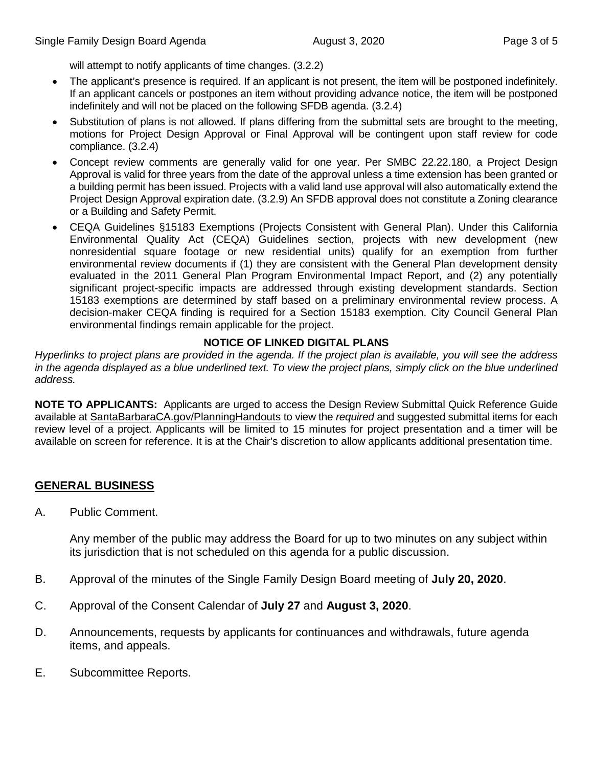will attempt to notify applicants of time changes.  $(3.2.2)$ 

- The applicant's presence is required. If an applicant is not present, the item will be postponed indefinitely. If an applicant cancels or postpones an item without providing advance notice, the item will be postponed indefinitely and will not be placed on the following SFDB agenda. (3.2.4)
- Substitution of plans is not allowed. If plans differing from the submittal sets are brought to the meeting, motions for Project Design Approval or Final Approval will be contingent upon staff review for code compliance. (3.2.4)
- Concept review comments are generally valid for one year. Per SMBC 22.22.180, a Project Design Approval is valid for three years from the date of the approval unless a time extension has been granted or a building permit has been issued. Projects with a valid land use approval will also automatically extend the Project Design Approval expiration date. (3.2.9) An SFDB approval does not constitute a Zoning clearance or a Building and Safety Permit.
- CEQA Guidelines §15183 Exemptions (Projects Consistent with General Plan). Under this California Environmental Quality Act (CEQA) Guidelines section, projects with new development (new nonresidential square footage or new residential units) qualify for an exemption from further environmental review documents if (1) they are consistent with the General Plan development density evaluated in the 2011 General Plan Program Environmental Impact Report, and (2) any potentially significant project-specific impacts are addressed through existing development standards. Section 15183 exemptions are determined by staff based on a preliminary environmental review process. A decision-maker CEQA finding is required for a Section 15183 exemption. City Council General Plan environmental findings remain applicable for the project.

#### **NOTICE OF LINKED DIGITAL PLANS**

*Hyperlinks to project plans are provided in the agenda. If the project plan is available, you will see the address*  in the agenda displayed as a blue underlined text. To view the project plans, simply click on the blue underlined *address.*

**NOTE TO APPLICANTS:** Applicants are urged to access the Design Review Submittal Quick Reference Guide available at [SantaBarbaraCA.gov/PlanningHandouts](http://www.santabarbaraca.gov/services/planning/forms/planning.asp?utm_source=CommunityDevelopment&utm_medium=PlanningHandouts&utm_campaign=QuickLinks) to view the *required* and suggested submittal items for each review level of a project. Applicants will be limited to 15 minutes for project presentation and a timer will be available on screen for reference. It is at the Chair's discretion to allow applicants additional presentation time.

# **GENERAL BUSINESS**

A. Public Comment.

Any member of the public may address the Board for up to two minutes on any subject within its jurisdiction that is not scheduled on this agenda for a public discussion.

- B. Approval of the minutes of the Single Family Design Board meeting of **July 20, 2020**.
- C. Approval of the Consent Calendar of **July 27** and **August 3, 2020**.
- D. Announcements, requests by applicants for continuances and withdrawals, future agenda items, and appeals.
- E. Subcommittee Reports.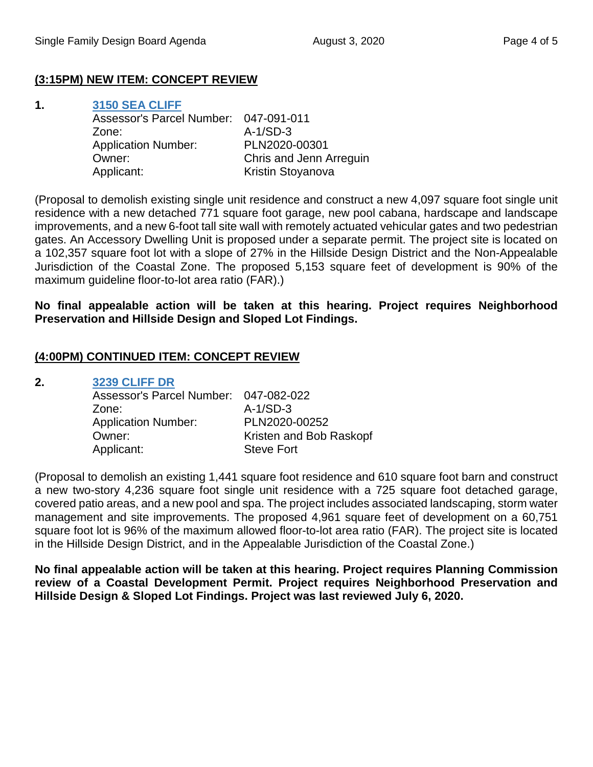# **(3:15PM) NEW ITEM: CONCEPT REVIEW**

| 1. | 3150 SEA CLIFF                        |                         |
|----|---------------------------------------|-------------------------|
|    | Assessor's Parcel Number: 047-091-011 |                         |
|    | Zone:                                 | $A-1/SD-3$              |
|    | <b>Application Number:</b>            | PLN2020-00301           |
|    | Owner:                                | Chris and Jenn Arreguin |
|    | Applicant:                            | Kristin Stoyanova       |
|    |                                       |                         |

(Proposal to demolish existing single unit residence and construct a new 4,097 square foot single unit residence with a new detached 771 square foot garage, new pool cabana, hardscape and landscape improvements, and a new 6-foot tall site wall with remotely actuated vehicular gates and two pedestrian gates. An Accessory Dwelling Unit is proposed under a separate permit. The project site is located on a 102,357 square foot lot with a slope of 27% in the Hillside Design District and the Non-Appealable Jurisdiction of the Coastal Zone. The proposed 5,153 square feet of development is 90% of the maximum guideline floor-to-lot area ratio (FAR).)

## **No final appealable action will be taken at this hearing. Project requires Neighborhood Preservation and Hillside Design and Sloped Lot Findings.**

## **(4:00PM) CONTINUED ITEM: CONCEPT REVIEW**

#### **2. [3239 CLIFF DR](https://www.santabarbaraca.gov/SBdocuments/Advisory_Groups/Single_Family_Design_Board/Archive/2020_Archives/03_Architectural_Drawings/2020-08-03_August_3_2020_3239_Cliff_Drive.pdf)**

| Assessor's Parcel Number: 047-082-022 |                         |
|---------------------------------------|-------------------------|
| Zone:                                 | $A-1/SD-3$              |
| <b>Application Number:</b>            | PLN2020-00252           |
| Owner:                                | Kristen and Bob Raskopf |
| Applicant:                            | <b>Steve Fort</b>       |
|                                       |                         |

(Proposal to demolish an existing 1,441 square foot residence and 610 square foot barn and construct a new two-story 4,236 square foot single unit residence with a 725 square foot detached garage, covered patio areas, and a new pool and spa. The project includes associated landscaping, storm water management and site improvements. The proposed 4,961 square feet of development on a 60,751 square foot lot is 96% of the maximum allowed floor-to-lot area ratio (FAR). The project site is located in the Hillside Design District, and in the Appealable Jurisdiction of the Coastal Zone.)

**No final appealable action will be taken at this hearing. Project requires Planning Commission review of a Coastal Development Permit. Project requires Neighborhood Preservation and Hillside Design & Sloped Lot Findings. Project was last reviewed July 6, 2020.**